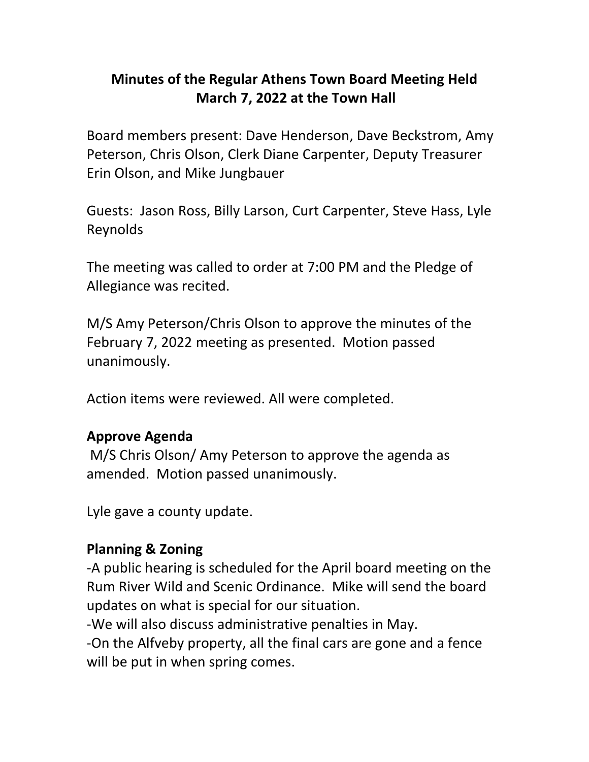# **Minutes of the Regular Athens Town Board Meeting Held March 7, 2022 at the Town Hall**

Board members present: Dave Henderson, Dave Beckstrom, Amy Peterson, Chris Olson, Clerk Diane Carpenter, Deputy Treasurer Erin Olson, and Mike Jungbauer

Guests: Jason Ross, Billy Larson, Curt Carpenter, Steve Hass, Lyle Reynolds

The meeting was called to order at 7:00 PM and the Pledge of Allegiance was recited.

M/S Amy Peterson/Chris Olson to approve the minutes of the February 7, 2022 meeting as presented. Motion passed unanimously.

Action items were reviewed. All were completed.

### **Approve Agenda**

M/S Chris Olson/ Amy Peterson to approve the agenda as amended. Motion passed unanimously.

Lyle gave a county update.

### **Planning & Zoning**

-A public hearing is scheduled for the April board meeting on the Rum River Wild and Scenic Ordinance. Mike will send the board updates on what is special for our situation.

-We will also discuss administrative penalties in May.

-On the Alfveby property, all the final cars are gone and a fence will be put in when spring comes.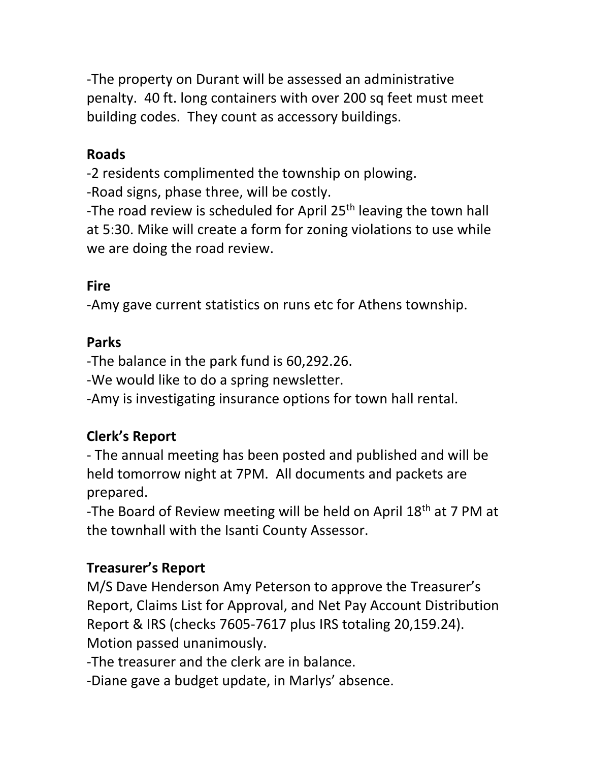-The property on Durant will be assessed an administrative penalty. 40 ft. long containers with over 200 sq feet must meet building codes. They count as accessory buildings.

### **Roads**

-2 residents complimented the township on plowing. -Road signs, phase three, will be costly.

-The road review is scheduled for April 25<sup>th</sup> leaving the town hall at 5:30. Mike will create a form for zoning violations to use while we are doing the road review.

### **Fire**

-Amy gave current statistics on runs etc for Athens township.

#### **Parks**

-The balance in the park fund is 60,292.26.

-We would like to do a spring newsletter.

-Amy is investigating insurance options for town hall rental.

## **Clerk's Report**

- The annual meeting has been posted and published and will be held tomorrow night at 7PM. All documents and packets are prepared.

-The Board of Review meeting will be held on April 18<sup>th</sup> at 7 PM at the townhall with the Isanti County Assessor.

### **Treasurer's Report**

M/S Dave Henderson Amy Peterson to approve the Treasurer's Report, Claims List for Approval, and Net Pay Account Distribution Report & IRS (checks 7605-7617 plus IRS totaling 20,159.24). Motion passed unanimously.

-The treasurer and the clerk are in balance.

-Diane gave a budget update, in Marlys' absence.